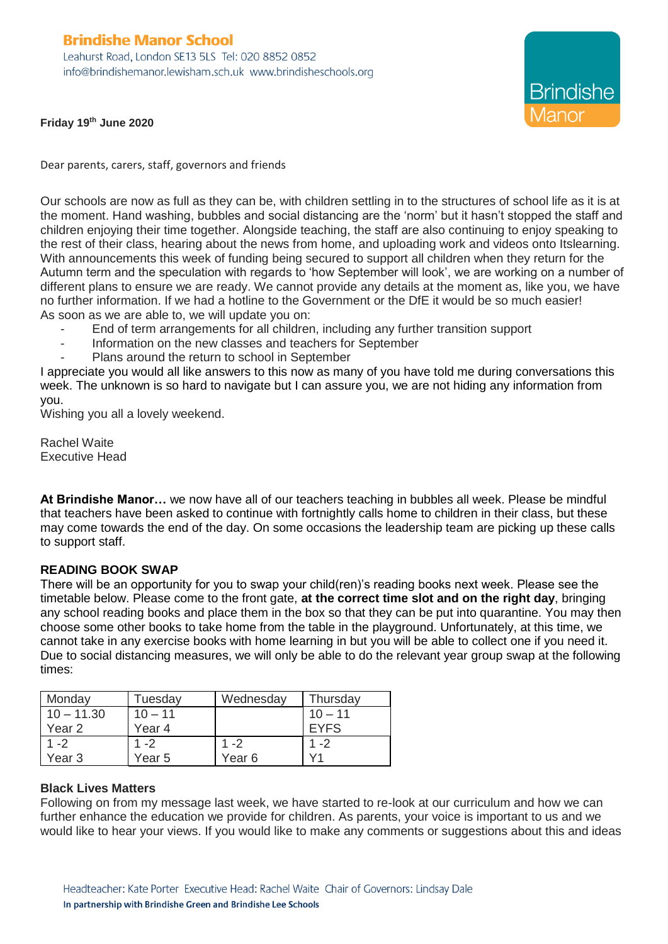# **Brindishe Manor School**

Leahurst Road, London SE13 5LS Tel: 020 8852 0852 info@brindishemanor.lewisham.sch.uk www.brindisheschools.org

**Brindishe** 

**Friday 19th June 2020**

Dear parents, carers, staff, governors and friends

Our schools are now as full as they can be, with children settling in to the structures of school life as it is at the moment. Hand washing, bubbles and social distancing are the 'norm' but it hasn't stopped the staff and children enjoying their time together. Alongside teaching, the staff are also continuing to enjoy speaking to the rest of their class, hearing about the news from home, and uploading work and videos onto Itslearning. With announcements this week of funding being secured to support all children when they return for the Autumn term and the speculation with regards to 'how September will look', we are working on a number of different plans to ensure we are ready. We cannot provide any details at the moment as, like you, we have no further information. If we had a hotline to the Government or the DfE it would be so much easier! As soon as we are able to, we will update you on:

- End of term arrangements for all children, including any further transition support
- Information on the new classes and teachers for September
- Plans around the return to school in September

I appreciate you would all like answers to this now as many of you have told me during conversations this week. The unknown is so hard to navigate but I can assure you, we are not hiding any information from you.

Wishing you all a lovely weekend.

Rachel Waite Executive Head

**At Brindishe Manor…** we now have all of our teachers teaching in bubbles all week. Please be mindful that teachers have been asked to continue with fortnightly calls home to children in their class, but these may come towards the end of the day. On some occasions the leadership team are picking up these calls to support staff.

# **READING BOOK SWAP**

There will be an opportunity for you to swap your child(ren)'s reading books next week. Please see the timetable below. Please come to the front gate, **at the correct time slot and on the right day**, bringing any school reading books and place them in the box so that they can be put into quarantine. You may then choose some other books to take home from the table in the playground. Unfortunately, at this time, we cannot take in any exercise books with home learning in but you will be able to collect one if you need it. Due to social distancing measures, we will only be able to do the relevant year group swap at the following times:

| Monday            | Tuesday   | Wednesday | Thursday    |
|-------------------|-----------|-----------|-------------|
| $10 - 11.30$      | $10 - 11$ |           | $10 - 11$   |
| Year <sub>2</sub> | Year 4    |           | <b>EYFS</b> |
| $1 - 2$           | $1 - 2$   | $1 - 2$   | $1 - 2$     |
| Year 3            | Year 5    | Year 6    |             |

# **Black Lives Matters**

Following on from my message last week, we have started to re-look at our curriculum and how we can further enhance the education we provide for children. As parents, your voice is important to us and we would like to hear your views. If you would like to make any comments or suggestions about this and ideas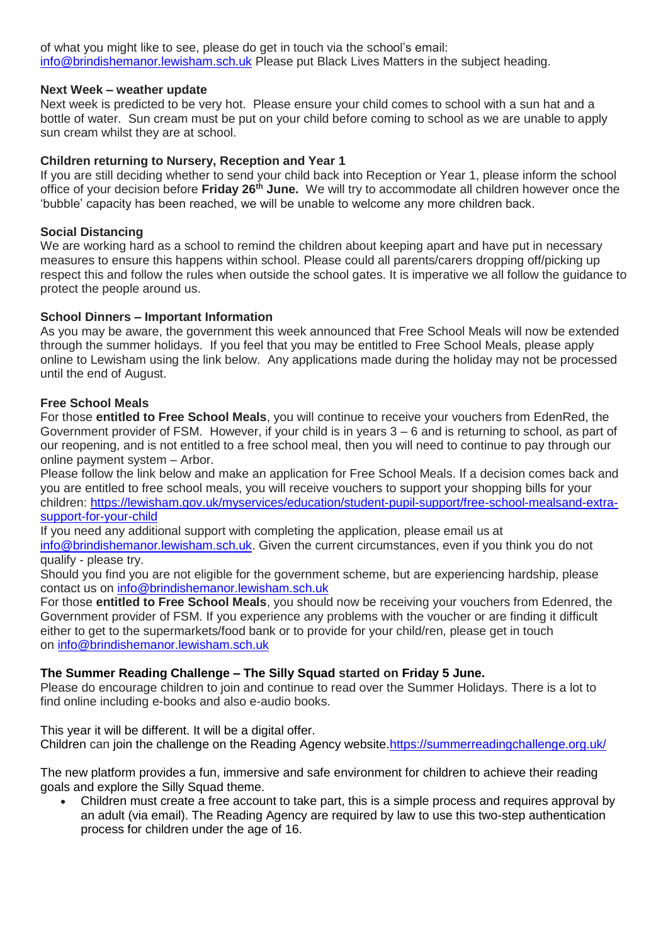of what you might like to see, please do get in touch via the school's email: [info@brindishemanor.lewisham.sch.uk](mailto:info@brindishemanor.lewisham.sch.uk) Please put Black Lives Matters in the subject heading.

# **Next Week – weather update**

Next week is predicted to be very hot. Please ensure your child comes to school with a sun hat and a bottle of water. Sun cream must be put on your child before coming to school as we are unable to apply sun cream whilst they are at school.

# **Children returning to Nursery, Reception and Year 1**

If you are still deciding whether to send your child back into Reception or Year 1, please inform the school office of your decision before **Friday 26th June.** We will try to accommodate all children however once the 'bubble' capacity has been reached, we will be unable to welcome any more children back.

#### **Social Distancing**

We are working hard as a school to remind the children about keeping apart and have put in necessary measures to ensure this happens within school. Please could all parents/carers dropping off/picking up respect this and follow the rules when outside the school gates. It is imperative we all follow the guidance to protect the people around us.

#### **School Dinners – Important Information**

As you may be aware, the government this week announced that Free School Meals will now be extended through the summer holidays. If you feel that you may be entitled to Free School Meals, please apply online to Lewisham using the link below. Any applications made during the holiday may not be processed until the end of August.

# **Free School Meals**

For those **entitled to Free School Meals**, you will continue to receive your vouchers from EdenRed, the Government provider of FSM. However, if your child is in years 3 – 6 and is returning to school, as part of our reopening, and is not entitled to a free school meal, then you will need to continue to pay through our online payment system – Arbor.

Please follow the link below and make an application for Free School Meals. If a decision comes back and you are entitled to free school meals, you will receive vouchers to support your shopping bills for your children: [https://lewisham.gov.uk/myservices/education/student-pupil-support/free-school-mealsand-extra](https://lewisham.gov.uk/myservices/education/student-pupil-support/free-school-mealsand-extra-support-for-your-child)[support-for-your-child](https://lewisham.gov.uk/myservices/education/student-pupil-support/free-school-mealsand-extra-support-for-your-child)

If you need any additional support with completing the application, please email us at

[info@brindishemanor.lewisham.sch.uk.](mailto:info@brindishemanor.lewisham.sch.uk) Given the current circumstances, even if you think you do not qualify - please try.

Should you find you are not eligible for the government scheme, but are experiencing hardship, please contact us on [info@brindishemanor.lewisham.sch.uk](mailto:info@brindishemanor.lewisham.sch.uk)

For those **entitled to Free School Meals**, you should now be receiving your vouchers from Edenred, the Government provider of FSM. If you experience any problems with the voucher or are finding it difficult either to get to the supermarkets/food bank or to provide for your child/ren, please get in touch on [info@brindishemanor.lewisham.sch.uk](mailto:info@brindishemanor.lewisham.sch.uk)

# **The Summer Reading Challenge – The Silly Squad started on Friday 5 June.**

Please do encourage children to join and continue to read over the Summer Holidays. There is a lot to find online including e-books and also e-audio books.

This year it will be different. It will be a digital offer. Children can join the challenge on the Reading Agency website[.https://summerreadingchallenge.org.uk/](https://summerreadingchallenge.org.uk/)

The new platform provides a fun, immersive and safe environment for children to achieve their reading goals and explore the Silly Squad theme.

 Children must create a free account to take part, this is a simple process and requires approval by an adult (via email). The Reading Agency are required by law to use this two-step authentication process for children under the age of 16.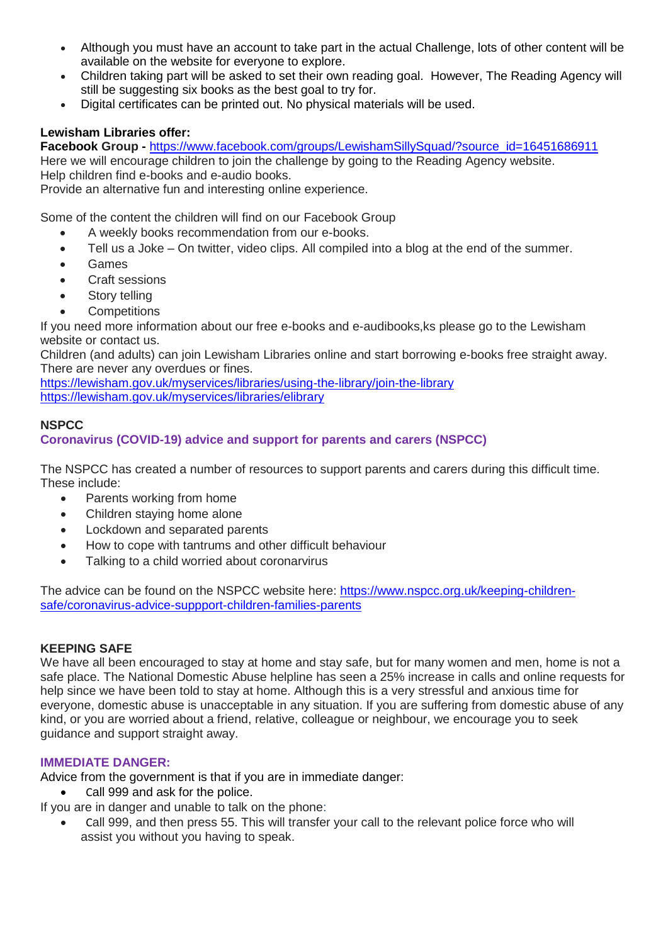- Although you must have an account to take part in the actual Challenge, lots of other content will be available on the website for everyone to explore.
- Children taking part will be asked to set their own reading goal. However, The Reading Agency will still be suggesting six books as the best goal to try for.
- Digital certificates can be printed out. No physical materials will be used.

# **Lewisham Libraries offer:**

**Facebook Group -** [https://www.facebook.com/groups/LewishamSillySquad/?source\\_id=16451686911](https://www.facebook.com/groups/LewishamSillySquad/?source_id=16451686911) Here we will encourage children to join the challenge by going to the Reading Agency website. Help children find e-books and e-audio books.

Provide an alternative fun and interesting online experience.

Some of the content the children will find on our Facebook Group

- A weekly books recommendation from our e-books.
- Tell us a Joke On twitter, video clips. All compiled into a blog at the end of the summer.
- Games
- Craft sessions
- Story telling
- **Competitions**

If you need more information about our free e-books and e-audibooks,ks please go to the Lewisham website or contact us.

Children (and adults) can join Lewisham Libraries online and start borrowing e-books free straight away. There are never any overdues or fines.

<https://lewisham.gov.uk/myservices/libraries/using-the-library/join-the-library> <https://lewisham.gov.uk/myservices/libraries/elibrary>

# **NSPCC**

# **Coronavirus (COVID-19) advice and support for parents and carers (NSPCC)**

The NSPCC has created a number of resources to support parents and carers during this difficult time. These include:

- Parents working from home
- Children staying home alone
- Lockdown and separated parents
- How to cope with tantrums and other difficult behaviour
- Talking to a child worried about coronarvirus

The advice can be found on the NSPCC website here: [https://www.nspcc.org.uk/keeping-children](https://www.nspcc.org.uk/keeping-children-safe/coronavirus-advice-suppport-children-families-parents)[safe/coronavirus-advice-suppport-children-families-parents](https://www.nspcc.org.uk/keeping-children-safe/coronavirus-advice-suppport-children-families-parents)

# **KEEPING SAFE**

We have all been encouraged to stay at home and stay safe, but for many women and men, home is not a safe place. The National Domestic Abuse helpline has seen a 25% increase in calls and online requests for help since we have been told to stay at home. Although this is a very stressful and anxious time for everyone, domestic abuse is unacceptable in any situation. If you are suffering from domestic abuse of any kind, or you are worried about a friend, relative, colleague or neighbour, we encourage you to seek guidance and support straight away.

# **IMMEDIATE DANGER:**

Advice from the government is that if you are in immediate danger:

Call 999 and ask for the police.

If you are in danger and unable to talk on the phone:

 Call 999, and then press 55. This will transfer your call to the relevant police force who will assist you without you having to speak.